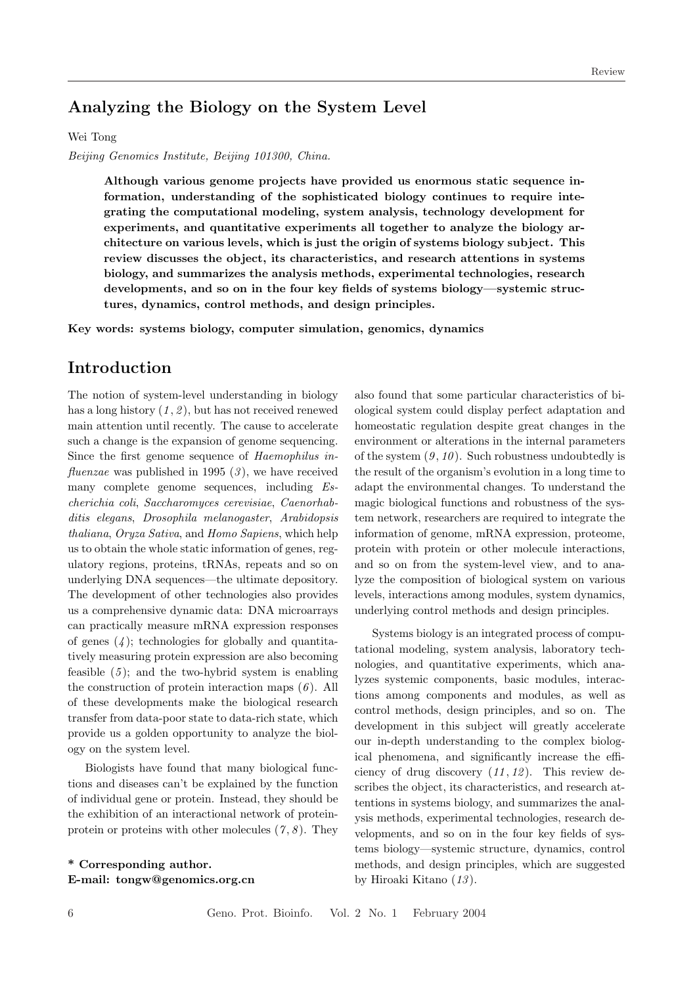# Analyzing the Biology on the System Level

#### Wei Tong

Beijing Genomics Institute, Beijing 101300, China.

Although various genome projects have provided us enormous static sequence information, understanding of the sophisticated biology continues to require integrating the computational modeling, system analysis, technology development for experiments, and quantitative experiments all together to analyze the biology architecture on various levels, which is just the origin of systems biology subject. This review discusses the object, its characteristics, and research attentions in systems biology, and summarizes the analysis methods, experimental technologies, research developments, and so on in the four key fields of systems biology—systemic structures, dynamics, control methods, and design principles.

Key words: systems biology, computer simulation, genomics, dynamics

## Introduction

The notion of system-level understanding in biology has a long history  $(1, 2)$ , but has not received renewed main attention until recently. The cause to accelerate such a change is the expansion of genome sequencing. Since the first genome sequence of Haemophilus in*fluenzae* was published in 1995  $(3)$ , we have received many complete genome sequences, including Escherichia coli, Saccharomyces cerevisiae, Caenorhabditis elegans, Drosophila melanogaster, Arabidopsis thaliana, Oryza Sativa, and Homo Sapiens, which help us to obtain the whole static information of genes, regulatory regions, proteins, tRNAs, repeats and so on underlying DNA sequences—the ultimate depository. The development of other technologies also provides us a comprehensive dynamic data: DNA microarrays can practically measure mRNA expression responses of genes  $(4)$ ; technologies for globally and quantitatively measuring protein expression are also becoming feasible  $(5)$ ; and the two-hybrid system is enabling the construction of protein interaction maps  $(6)$ . All of these developments make the biological research transfer from data-poor state to data-rich state, which provide us a golden opportunity to analyze the biology on the system level.

Biologists have found that many biological functions and diseases can't be explained by the function of individual gene or protein. Instead, they should be the exhibition of an interactional network of proteinprotein or proteins with other molecules  $(7, 8)$ . They

\* Corresponding author. E-mail: tongw@genomics.org.cn also found that some particular characteristics of biological system could display perfect adaptation and homeostatic regulation despite great changes in the environment or alterations in the internal parameters of the system  $(9, 10)$ . Such robustness undoubtedly is the result of the organism's evolution in a long time to adapt the environmental changes. To understand the magic biological functions and robustness of the system network, researchers are required to integrate the information of genome, mRNA expression, proteome, protein with protein or other molecule interactions, and so on from the system-level view, and to analyze the composition of biological system on various levels, interactions among modules, system dynamics, underlying control methods and design principles.

Systems biology is an integrated process of computational modeling, system analysis, laboratory technologies, and quantitative experiments, which analyzes systemic components, basic modules, interactions among components and modules, as well as control methods, design principles, and so on. The development in this subject will greatly accelerate our in-depth understanding to the complex biological phenomena, and significantly increase the efficiency of drug discovery  $(11, 12)$ . This review describes the object, its characteristics, and research attentions in systems biology, and summarizes the analysis methods, experimental technologies, research developments, and so on in the four key fields of systems biology—systemic structure, dynamics, control methods, and design principles, which are suggested by Hiroaki Kitano (13 ).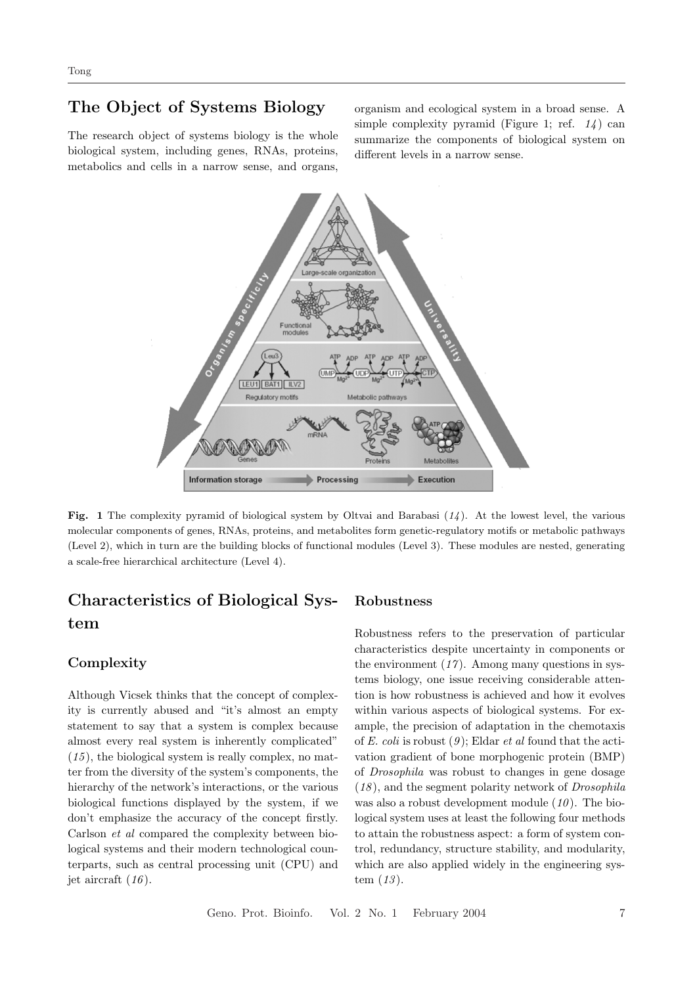# The Object of Systems Biology

The research object of systems biology is the whole biological system, including genes, RNAs, proteins, metabolics and cells in a narrow sense, and organs,

organism and ecological system in a broad sense. A simple complexity pyramid (Figure 1; ref.  $1/4$ ) can summarize the components of biological system on different levels in a narrow sense.



Fig. 1 The complexity pyramid of biological system by Oltvai and Barabasi  $(14)$ . At the lowest level, the various molecular components of genes, RNAs, proteins, and metabolites form genetic-regulatory motifs or metabolic pathways (Level 2), which in turn are the building blocks of functional modules (Level 3). These modules are nested, generating a scale-free hierarchical architecture (Level 4).

# Characteristics of Biological System

## **Complexity**

Although Vicsek thinks that the concept of complexity is currently abused and "it's almost an empty statement to say that a system is complex because almost every real system is inherently complicated"  $(15)$ , the biological system is really complex, no matter from the diversity of the system's components, the hierarchy of the network's interactions, or the various biological functions displayed by the system, if we don't emphasize the accuracy of the concept firstly. Carlson et al compared the complexity between biological systems and their modern technological counterparts, such as central processing unit (CPU) and jet aircraft  $(16)$ .

## Robustness

Robustness refers to the preservation of particular characteristics despite uncertainty in components or the environment  $(17)$ . Among many questions in systems biology, one issue receiving considerable attention is how robustness is achieved and how it evolves within various aspects of biological systems. For example, the precision of adaptation in the chemotaxis of E. coli is robust  $(9)$ ; Eldar *et al* found that the activation gradient of bone morphogenic protein (BMP) of Drosophila was robust to changes in gene dosage  $(18)$ , and the segment polarity network of *Drosophila* was also a robust development module  $(10)$ . The biological system uses at least the following four methods to attain the robustness aspect: a form of system control, redundancy, structure stability, and modularity, which are also applied widely in the engineering system  $(13)$ .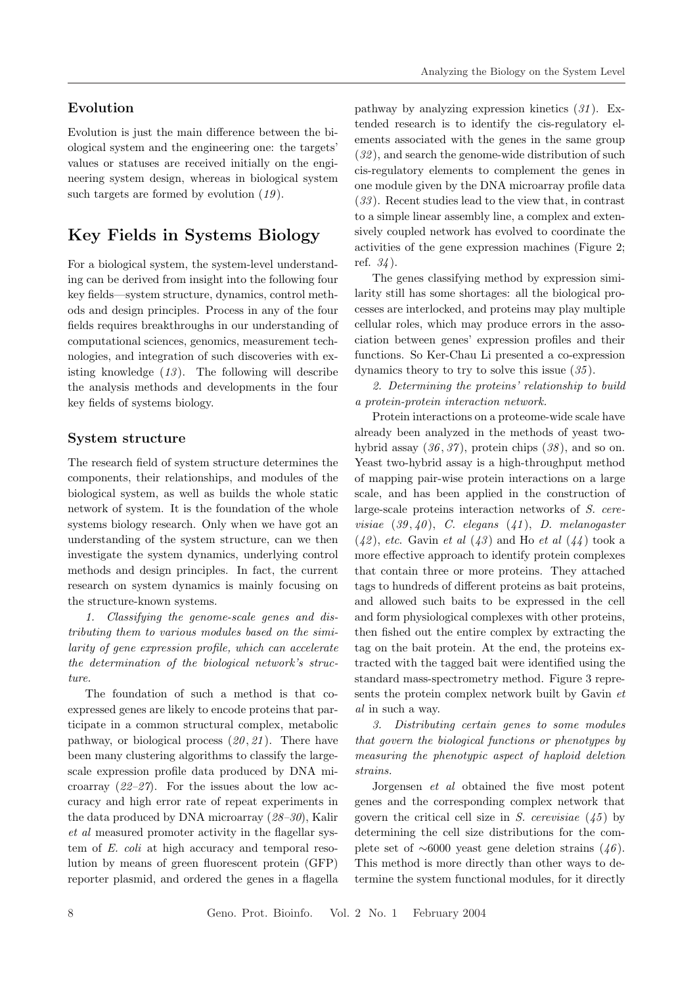## Evolution

Evolution is just the main difference between the biological system and the engineering one: the targets' values or statuses are received initially on the engineering system design, whereas in biological system such targets are formed by evolution  $(19)$ .

# Key Fields in Systems Biology

For a biological system, the system-level understanding can be derived from insight into the following four key fields—system structure, dynamics, control methods and design principles. Process in any of the four fields requires breakthroughs in our understanding of computational sciences, genomics, measurement technologies, and integration of such discoveries with existing knowledge  $(13)$ . The following will describe the analysis methods and developments in the four key fields of systems biology.

### System structure

The research field of system structure determines the components, their relationships, and modules of the biological system, as well as builds the whole static network of system. It is the foundation of the whole systems biology research. Only when we have got an understanding of the system structure, can we then investigate the system dynamics, underlying control methods and design principles. In fact, the current research on system dynamics is mainly focusing on the structure-known systems.

1. Classifying the genome-scale genes and distributing them to various modules based on the similarity of gene expression profile, which can accelerate the determination of the biological network's structure.

The foundation of such a method is that coexpressed genes are likely to encode proteins that participate in a common structural complex, metabolic pathway, or biological process  $(20, 21)$ . There have been many clustering algorithms to classify the largescale expression profile data produced by DNA microarray  $(22-27)$ . For the issues about the low accuracy and high error rate of repeat experiments in the data produced by DNA microarray (28–30), Kalir et al measured promoter activity in the flagellar system of E. coli at high accuracy and temporal resolution by means of green fluorescent protein (GFP) reporter plasmid, and ordered the genes in a flagella pathway by analyzing expression kinetics  $(31)$ . Extended research is to identify the cis-regulatory elements associated with the genes in the same group  $(32)$ , and search the genome-wide distribution of such cis-regulatory elements to complement the genes in one module given by the DNA microarray profile data (33 ). Recent studies lead to the view that, in contrast to a simple linear assembly line, a complex and extensively coupled network has evolved to coordinate the activities of the gene expression machines (Figure 2; ref.  $34$ .

The genes classifying method by expression similarity still has some shortages: all the biological processes are interlocked, and proteins may play multiple cellular roles, which may produce errors in the association between genes' expression profiles and their functions. So Ker-Chau Li presented a co-expression dynamics theory to try to solve this issue (35 ).

2. Determining the proteins' relationship to build a protein-protein interaction network.

Protein interactions on a proteome-wide scale have already been analyzed in the methods of yeast twohybrid assay  $(36, 37)$ , protein chips  $(38)$ , and so on. Yeast two-hybrid assay is a high-throughput method of mapping pair-wise protein interactions on a large scale, and has been applied in the construction of large-scale proteins interaction networks of S. cerevisiae  $(39, 40)$ , C. elegans  $(41)$ , D. melanogaster  $(42)$ , etc. Gavin et al  $(43)$  and Ho et al  $(44)$  took a more effective approach to identify protein complexes that contain three or more proteins. They attached tags to hundreds of different proteins as bait proteins, and allowed such baits to be expressed in the cell and form physiological complexes with other proteins, then fished out the entire complex by extracting the tag on the bait protein. At the end, the proteins extracted with the tagged bait were identified using the standard mass-spectrometry method. Figure 3 represents the protein complex network built by Gavin et al in such a way.

3. Distributing certain genes to some modules that govern the biological functions or phenotypes by measuring the phenotypic aspect of haploid deletion strains.

Jorgensen et al obtained the five most potent genes and the corresponding complex network that govern the critical cell size in S. cerevisiae  $(45)$  by determining the cell size distributions for the complete set of  $~\sim 6000$  yeast gene deletion strains  $(46)$ . This method is more directly than other ways to determine the system functional modules, for it directly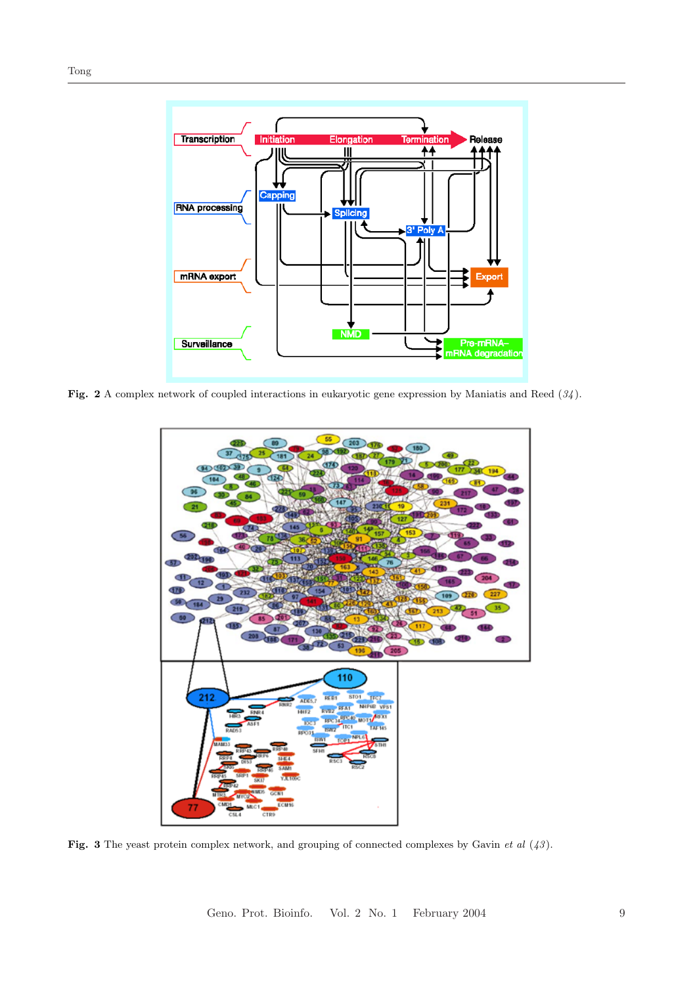

Fig. 2 A complex network of coupled interactions in eukaryotic gene expression by Maniatis and Reed  $(34)$ .



Fig. 3 The yeast protein complex network, and grouping of connected complexes by Gavin et al  $(43)$ .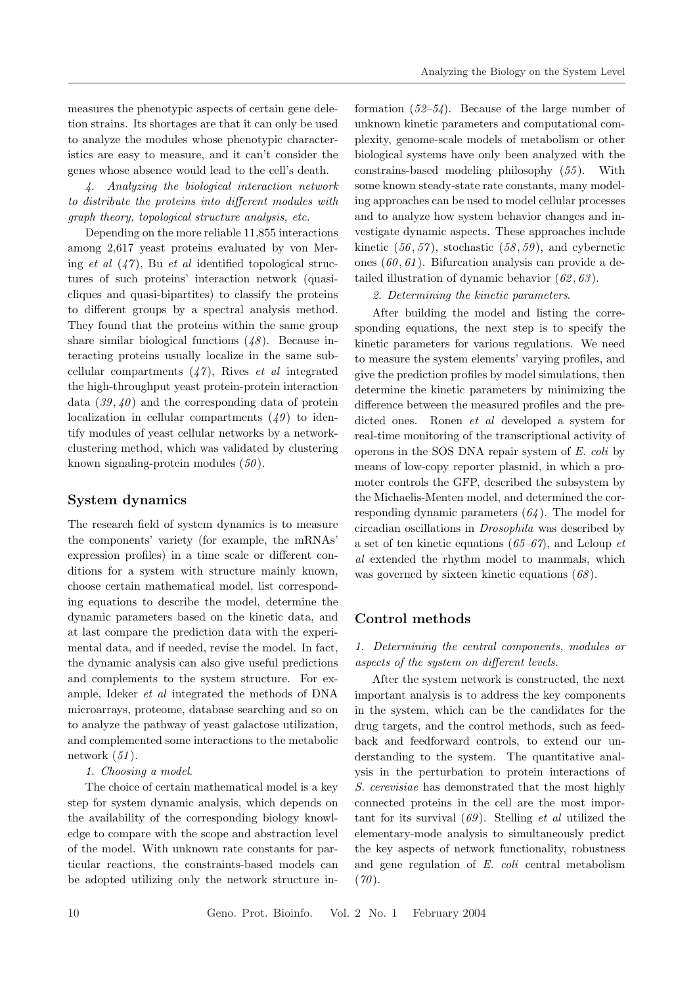measures the phenotypic aspects of certain gene deletion strains. Its shortages are that it can only be used to analyze the modules whose phenotypic characteristics are easy to measure, and it can't consider the genes whose absence would lead to the cell's death.

4. Analyzing the biological interaction network to distribute the proteins into different modules with graph theory, topological structure analysis, etc.

Depending on the more reliable 11,855 interactions among 2,617 yeast proteins evaluated by von Mering et al  $(47)$ , Bu et al identified topological structures of such proteins' interaction network (quasicliques and quasi-bipartites) to classify the proteins to different groups by a spectral analysis method. They found that the proteins within the same group share similar biological functions  $(48)$ . Because interacting proteins usually localize in the same subcellular compartments  $(47)$ , Rives *et al* integrated the high-throughput yeast protein-protein interaction data  $(39, 40)$  and the corresponding data of protein localization in cellular compartments  $(49)$  to identify modules of yeast cellular networks by a networkclustering method, which was validated by clustering known signaling-protein modules  $(50)$ .

## System dynamics

The research field of system dynamics is to measure the components' variety (for example, the mRNAs' expression profiles) in a time scale or different conditions for a system with structure mainly known, choose certain mathematical model, list corresponding equations to describe the model, determine the dynamic parameters based on the kinetic data, and at last compare the prediction data with the experimental data, and if needed, revise the model. In fact, the dynamic analysis can also give useful predictions and complements to the system structure. For example, Ideker et al integrated the methods of DNA microarrays, proteome, database searching and so on to analyze the pathway of yeast galactose utilization, and complemented some interactions to the metabolic network  $(51)$ .

#### 1. Choosing a model.

The choice of certain mathematical model is a key step for system dynamic analysis, which depends on the availability of the corresponding biology knowledge to compare with the scope and abstraction level of the model. With unknown rate constants for particular reactions, the constraints-based models can be adopted utilizing only the network structure in-

formation  $(52-54)$ . Because of the large number of unknown kinetic parameters and computational complexity, genome-scale models of metabolism or other biological systems have only been analyzed with the constrains-based modeling philosophy (55 ). With some known steady-state rate constants, many modeling approaches can be used to model cellular processes and to analyze how system behavior changes and investigate dynamic aspects. These approaches include kinetic  $(56, 57)$ , stochastic  $(58, 59)$ , and cybernetic ones  $(60, 61)$ . Bifurcation analysis can provide a detailed illustration of dynamic behavior  $(62, 63)$ .

2. Determining the kinetic parameters.

After building the model and listing the corresponding equations, the next step is to specify the kinetic parameters for various regulations. We need to measure the system elements' varying profiles, and give the prediction profiles by model simulations, then determine the kinetic parameters by minimizing the difference between the measured profiles and the predicted ones. Ronen et al developed a system for real-time monitoring of the transcriptional activity of operons in the SOS DNA repair system of E. coli by means of low-copy reporter plasmid, in which a promoter controls the GFP, described the subsystem by the Michaelis-Menten model, and determined the corresponding dynamic parameters  $(64)$ . The model for circadian oscillations in Drosophila was described by a set of ten kinetic equations  $(65-67)$ , and Leloup et al extended the rhythm model to mammals, which was governed by sixteen kinetic equations  $(68)$ .

#### Control methods

1. Determining the central components, modules or aspects of the system on different levels.

After the system network is constructed, the next important analysis is to address the key components in the system, which can be the candidates for the drug targets, and the control methods, such as feedback and feedforward controls, to extend our understanding to the system. The quantitative analysis in the perturbation to protein interactions of S. cerevisiae has demonstrated that the most highly connected proteins in the cell are the most important for its survival  $(69)$ . Stelling *et al* utilized the elementary-mode analysis to simultaneously predict the key aspects of network functionality, robustness and gene regulation of E. coli central metabolism  $(70)$ .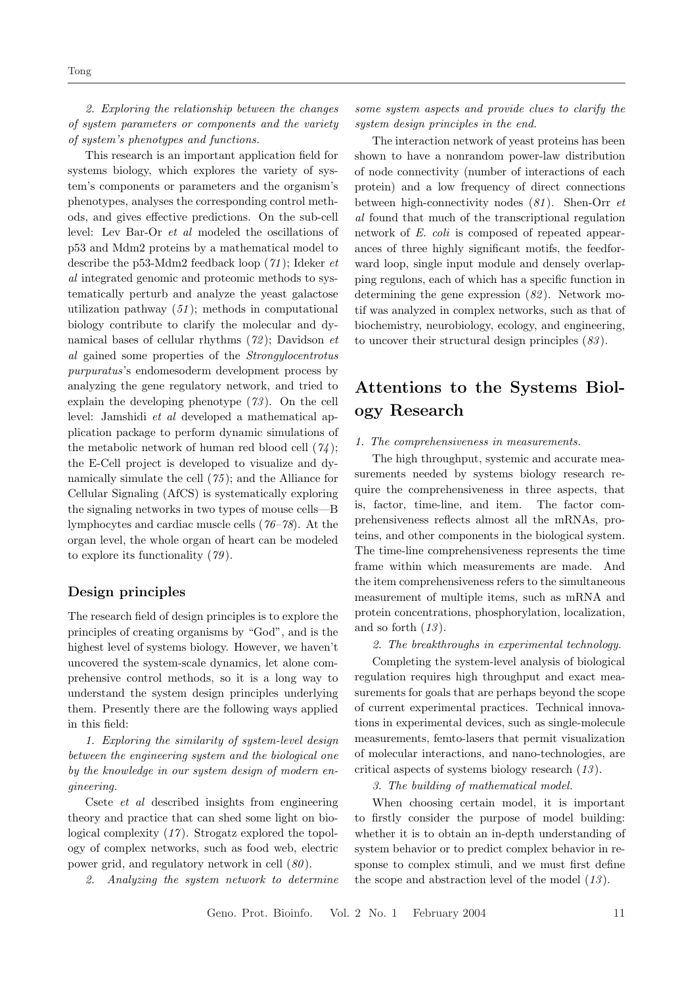2. Exploring the relationship between the changes of system parameters or components and the variety of system's phenotypes and functions.

This research is an important application field for systems biology, which explores the variety of system's components or parameters and the organism's phenotypes, analyses the corresponding control methods, and gives effective predictions. On the sub-cell level: Lev Bar-Or et al modeled the oscillations of p53 and Mdm2 proteins by a mathematical model to describe the p53-Mdm2 feedback loop  $(71)$ ; Ideker et al integrated genomic and proteomic methods to systematically perturb and analyze the yeast galactose utilization pathway  $(51)$ ; methods in computational biology contribute to clarify the molecular and dynamical bases of cellular rhythms  $(72)$ ; Davidson et al gained some properties of the Strongylocentrotus purpuratus's endomesoderm development process by analyzing the gene regulatory network, and tried to explain the developing phenotype  $(73)$ . On the cell level: Jamshidi et al developed a mathematical application package to perform dynamic simulations of the metabolic network of human red blood cell  $(74)$ ; the E-Cell project is developed to visualize and dynamically simulate the cell  $(75)$ ; and the Alliance for Cellular Signaling (AfCS) is systematically exploring the signaling networks in two types of mouse cells—B lymphocytes and cardiac muscle cells (76–78). At the organ level, the whole organ of heart can be modeled to explore its functionality  $(79)$ .

### Design principles

The research field of design principles is to explore the principles of creating organisms by "God", and is the highest level of systems biology. However, we haven't uncovered the system-scale dynamics, let alone comprehensive control methods, so it is a long way to understand the system design principles underlying them. Presently there are the following ways applied in this field:

1. Exploring the similarity of system-level design between the engineering system and the biological one by the knowledge in our system design of modern engineering.

Csete et al described insights from engineering theory and practice that can shed some light on biological complexity  $(17)$ . Strogatz explored the topology of complex networks, such as food web, electric power grid, and regulatory network in cell (80 ).

2. Analyzing the system network to determine

some system aspects and provide clues to clarify the system design principles in the end.

The interaction network of yeast proteins has been shown to have a nonrandom power-law distribution of node connectivity (number of interactions of each protein) and a low frequency of direct connections between high-connectivity nodes  $(81)$ . Shen-Orr  $et$ al found that much of the transcriptional regulation network of E. coli is composed of repeated appearances of three highly significant motifs, the feedforward loop, single input module and densely overlapping regulons, each of which has a specific function in determining the gene expression  $(82)$ . Network motif was analyzed in complex networks, such as that of biochemistry, neurobiology, ecology, and engineering, to uncover their structural design principles  $(83)$ .

# Attentions to the Systems Biology Research

#### 1. The comprehensiveness in measurements.

The high throughput, systemic and accurate measurements needed by systems biology research require the comprehensiveness in three aspects, that is, factor, time-line, and item. The factor comprehensiveness reflects almost all the mRNAs, proteins, and other components in the biological system. The time-line comprehensiveness represents the time frame within which measurements are made. And the item comprehensiveness refers to the simultaneous measurement of multiple items, such as mRNA and protein concentrations, phosphorylation, localization, and so forth  $(13)$ .

2. The breakthroughs in experimental technology.

Completing the system-level analysis of biological regulation requires high throughput and exact measurements for goals that are perhaps beyond the scope of current experimental practices. Technical innovations in experimental devices, such as single-molecule measurements, femto-lasers that permit visualization of molecular interactions, and nano-technologies, are critical aspects of systems biology research (13 ).

3. The building of mathematical model.

When choosing certain model, it is important to firstly consider the purpose of model building: whether it is to obtain an in-depth understanding of system behavior or to predict complex behavior in response to complex stimuli, and we must first define the scope and abstraction level of the model  $(13)$ .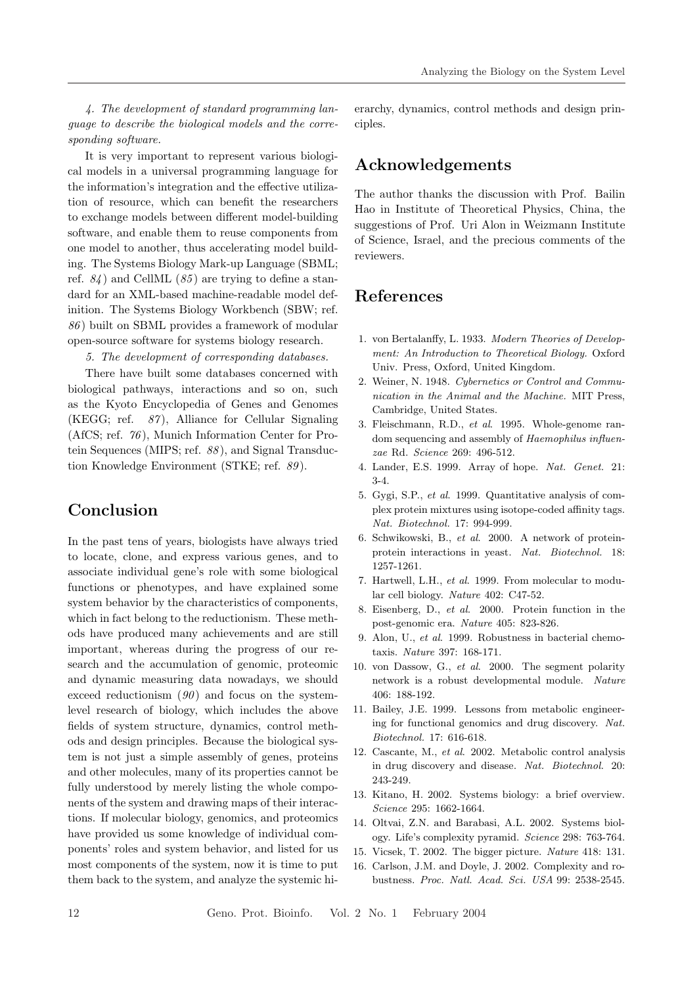4. The development of standard programming language to describe the biological models and the corresponding software.

It is very important to represent various biological models in a universal programming language for the information's integration and the effective utilization of resource, which can benefit the researchers to exchange models between different model-building software, and enable them to reuse components from one model to another, thus accelerating model building. The Systems Biology Mark-up Language (SBML; ref.  $84$ ) and CellML  $(85)$  are trying to define a standard for an XML-based machine-readable model definition. The Systems Biology Workbench (SBW; ref. 86 ) built on SBML provides a framework of modular open-source software for systems biology research.

5. The development of corresponding databases.

There have built some databases concerned with biological pathways, interactions and so on, such as the Kyoto Encyclopedia of Genes and Genomes (KEGG; ref.  $87$ ), Alliance for Cellular Signaling (AfCS; ref. 76 ), Munich Information Center for Protein Sequences (MIPS; ref. 88 ), and Signal Transduction Knowledge Environment (STKE; ref. 89 ).

# Conclusion

In the past tens of years, biologists have always tried to locate, clone, and express various genes, and to associate individual gene's role with some biological functions or phenotypes, and have explained some system behavior by the characteristics of components, which in fact belong to the reductionism. These methods have produced many achievements and are still important, whereas during the progress of our research and the accumulation of genomic, proteomic and dynamic measuring data nowadays, we should exceed reductionism  $(90)$  and focus on the systemlevel research of biology, which includes the above fields of system structure, dynamics, control methods and design principles. Because the biological system is not just a simple assembly of genes, proteins and other molecules, many of its properties cannot be fully understood by merely listing the whole components of the system and drawing maps of their interactions. If molecular biology, genomics, and proteomics have provided us some knowledge of individual components' roles and system behavior, and listed for us most components of the system, now it is time to put them back to the system, and analyze the systemic hierarchy, dynamics, control methods and design principles.

## Acknowledgements

The author thanks the discussion with Prof. Bailin Hao in Institute of Theoretical Physics, China, the suggestions of Prof. Uri Alon in Weizmann Institute of Science, Israel, and the precious comments of the reviewers.

# References

- 1. von Bertalanffy, L. 1933. Modern Theories of Development: An Introduction to Theoretical Biology. Oxford Univ. Press, Oxford, United Kingdom.
- 2. Weiner, N. 1948. Cybernetics or Control and Communication in the Animal and the Machine. MIT Press, Cambridge, United States.
- 3. Fleischmann, R.D., et al. 1995. Whole-genome random sequencing and assembly of Haemophilus influenzae Rd. Science 269: 496-512.
- 4. Lander, E.S. 1999. Array of hope. Nat. Genet. 21: 3-4.
- 5. Gygi, S.P., et al. 1999. Quantitative analysis of complex protein mixtures using isotope-coded affinity tags. Nat. Biotechnol. 17: 994-999.
- 6. Schwikowski, B., et al. 2000. A network of proteinprotein interactions in yeast. Nat. Biotechnol. 18: 1257-1261.
- 7. Hartwell, L.H., et al. 1999. From molecular to modular cell biology. Nature 402: C47-52.
- 8. Eisenberg, D., et al. 2000. Protein function in the post-genomic era. Nature 405: 823-826.
- 9. Alon, U., et al. 1999. Robustness in bacterial chemotaxis. Nature 397: 168-171.
- 10. von Dassow, G., et al. 2000. The segment polarity network is a robust developmental module. Nature 406: 188-192.
- 11. Bailey, J.E. 1999. Lessons from metabolic engineering for functional genomics and drug discovery. Nat. Biotechnol. 17: 616-618.
- 12. Cascante, M., et al. 2002. Metabolic control analysis in drug discovery and disease. Nat. Biotechnol. 20: 243-249.
- 13. Kitano, H. 2002. Systems biology: a brief overview. Science 295: 1662-1664.
- 14. Oltvai, Z.N. and Barabasi, A.L. 2002. Systems biology. Life's complexity pyramid. Science 298: 763-764.
- 15. Vicsek, T. 2002. The bigger picture. Nature 418: 131.
- 16. Carlson, J.M. and Doyle, J. 2002. Complexity and robustness. Proc. Natl. Acad. Sci. USA 99: 2538-2545.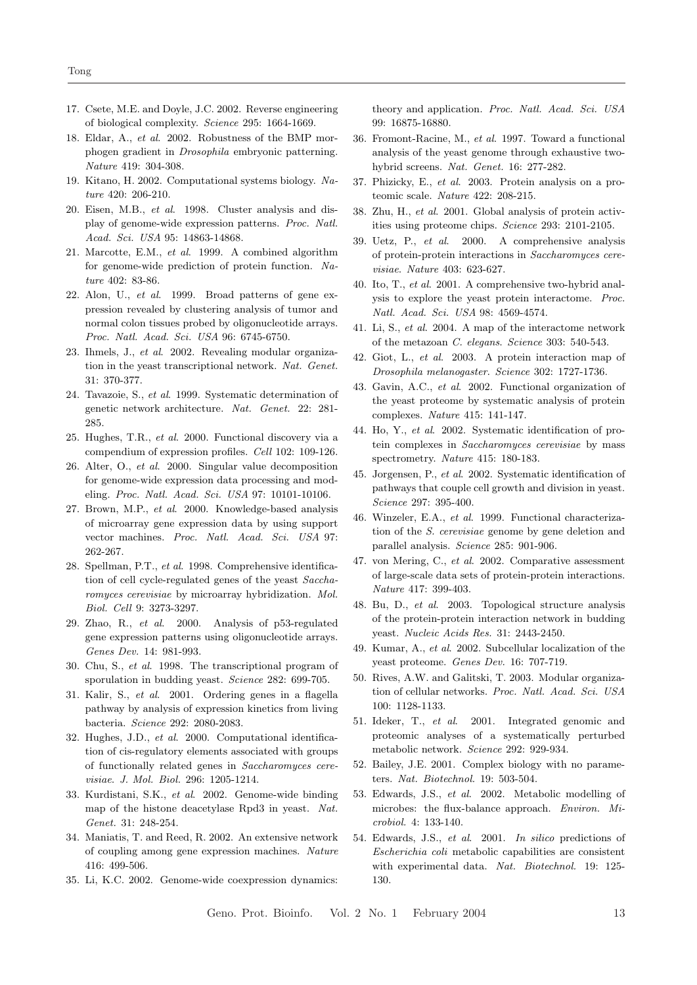- 17. Csete, M.E. and Doyle, J.C. 2002. Reverse engineering of biological complexity. Science 295: 1664-1669.
- 18. Eldar, A., et al. 2002. Robustness of the BMP morphogen gradient in Drosophila embryonic patterning. Nature 419: 304-308.
- 19. Kitano, H. 2002. Computational systems biology. Nature 420: 206-210.
- 20. Eisen, M.B., et al. 1998. Cluster analysis and display of genome-wide expression patterns. Proc. Natl. Acad. Sci. USA 95: 14863-14868.
- 21. Marcotte, E.M., et al. 1999. A combined algorithm for genome-wide prediction of protein function. Nature 402: 83-86.
- 22. Alon, U., et al. 1999. Broad patterns of gene expression revealed by clustering analysis of tumor and normal colon tissues probed by oligonucleotide arrays. Proc. Natl. Acad. Sci. USA 96: 6745-6750.
- 23. Ihmels, J., et al. 2002. Revealing modular organization in the yeast transcriptional network. Nat. Genet. 31: 370-377.
- 24. Tavazoie, S., et al. 1999. Systematic determination of genetic network architecture. Nat. Genet. 22: 281- 285.
- 25. Hughes, T.R., et al. 2000. Functional discovery via a compendium of expression profiles. Cell 102: 109-126.
- 26. Alter, O., et al. 2000. Singular value decomposition for genome-wide expression data processing and modeling. Proc. Natl. Acad. Sci. USA 97: 10101-10106.
- 27. Brown, M.P., et al. 2000. Knowledge-based analysis of microarray gene expression data by using support vector machines. Proc. Natl. Acad. Sci. USA 97: 262-267.
- 28. Spellman, P.T., et al. 1998. Comprehensive identification of cell cycle-regulated genes of the yeast Saccharomyces cerevisiae by microarray hybridization. Mol. Biol. Cell 9: 3273-3297.
- 29. Zhao, R., et al. 2000. Analysis of p53-regulated gene expression patterns using oligonucleotide arrays. Genes Dev. 14: 981-993.
- 30. Chu, S., et al. 1998. The transcriptional program of sporulation in budding yeast. Science 282: 699-705.
- 31. Kalir, S., et al. 2001. Ordering genes in a flagella pathway by analysis of expression kinetics from living bacteria. Science 292: 2080-2083.
- 32. Hughes, J.D., et al. 2000. Computational identification of cis-regulatory elements associated with groups of functionally related genes in Saccharomyces cerevisiae. J. Mol. Biol. 296: 1205-1214.
- 33. Kurdistani, S.K., et al. 2002. Genome-wide binding map of the histone deacetylase Rpd3 in yeast. Nat. Genet. 31: 248-254.
- 34. Maniatis, T. and Reed, R. 2002. An extensive network of coupling among gene expression machines. Nature 416: 499-506.
- 35. Li, K.C. 2002. Genome-wide coexpression dynamics:

theory and application. Proc. Natl. Acad. Sci. USA 99: 16875-16880.

- 36. Fromont-Racine, M., et al. 1997. Toward a functional analysis of the yeast genome through exhaustive twohybrid screens. Nat. Genet. 16: 277-282.
- 37. Phizicky, E., et al. 2003. Protein analysis on a proteomic scale. Nature 422: 208-215.
- 38. Zhu, H., et al. 2001. Global analysis of protein activities using proteome chips. Science 293: 2101-2105.
- 39. Uetz, P., et al. 2000. A comprehensive analysis of protein-protein interactions in Saccharomyces cerevisiae. Nature 403: 623-627.
- 40. Ito, T., et al. 2001. A comprehensive two-hybrid analysis to explore the yeast protein interactome. Proc. Natl. Acad. Sci. USA 98: 4569-4574.
- 41. Li, S., et al. 2004. A map of the interactome network of the metazoan C. elegans. Science 303: 540-543.
- 42. Giot, L., et al. 2003. A protein interaction map of Drosophila melanogaster. Science 302: 1727-1736.
- 43. Gavin, A.C., et al. 2002. Functional organization of the yeast proteome by systematic analysis of protein complexes. Nature 415: 141-147.
- 44. Ho, Y., et al. 2002. Systematic identification of protein complexes in Saccharomyces cerevisiae by mass spectrometry. Nature 415: 180-183.
- 45. Jorgensen, P., et al. 2002. Systematic identification of pathways that couple cell growth and division in yeast. Science 297: 395-400.
- 46. Winzeler, E.A., et al. 1999. Functional characterization of the S. cerevisiae genome by gene deletion and parallel analysis. Science 285: 901-906.
- 47. von Mering, C., et al. 2002. Comparative assessment of large-scale data sets of protein-protein interactions. Nature 417: 399-403.
- 48. Bu, D., et al. 2003. Topological structure analysis of the protein-protein interaction network in budding yeast. Nucleic Acids Res. 31: 2443-2450.
- 49. Kumar, A., et al. 2002. Subcellular localization of the yeast proteome. Genes Dev. 16: 707-719.
- 50. Rives, A.W. and Galitski, T. 2003. Modular organization of cellular networks. Proc. Natl. Acad. Sci. USA 100: 1128-1133.
- 51. Ideker, T., et al. 2001. Integrated genomic and proteomic analyses of a systematically perturbed metabolic network. Science 292: 929-934.
- 52. Bailey, J.E. 2001. Complex biology with no parameters. Nat. Biotechnol. 19: 503-504.
- 53. Edwards, J.S., et al. 2002. Metabolic modelling of microbes: the flux-balance approach. Environ. Microbiol. 4: 133-140.
- 54. Edwards, J.S., et al. 2001. In silico predictions of Escherichia coli metabolic capabilities are consistent with experimental data. Nat. Biotechnol. 19: 125- 130.